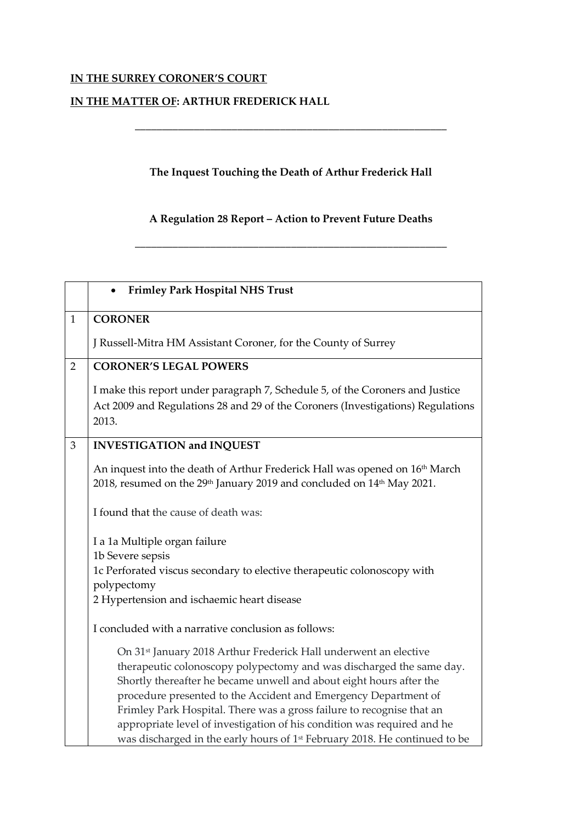## **IN THE SURREY CORONER'S COURT**

## **IN THE MATTER OF: ARTHUR FREDERICK HALL**

## **The Inquest Touching the Death of Arthur Frederick Hall**

**\_\_\_\_\_\_\_\_\_\_\_\_\_\_\_\_\_\_\_\_\_\_\_\_\_\_\_\_\_\_\_\_\_\_\_\_\_\_\_\_\_\_\_\_\_\_\_\_\_\_\_\_\_\_\_\_\_\_**

## **A Regulation 28 Report – Action to Prevent Future Deaths**

\_\_\_\_\_\_\_\_\_\_\_\_\_\_\_\_\_\_\_\_\_\_\_\_\_\_\_\_\_\_\_\_\_\_\_\_\_\_\_\_\_\_\_\_\_\_\_\_\_\_\_\_\_\_\_\_\_\_

|                | Frimley Park Hospital NHS Trust                                                                                                                                                                                                                                                                                                                                                                                                                                                                                                              |
|----------------|----------------------------------------------------------------------------------------------------------------------------------------------------------------------------------------------------------------------------------------------------------------------------------------------------------------------------------------------------------------------------------------------------------------------------------------------------------------------------------------------------------------------------------------------|
| $\mathbf{1}$   | <b>CORONER</b>                                                                                                                                                                                                                                                                                                                                                                                                                                                                                                                               |
|                | J Russell-Mitra HM Assistant Coroner, for the County of Surrey                                                                                                                                                                                                                                                                                                                                                                                                                                                                               |
| $\overline{2}$ | <b>CORONER'S LEGAL POWERS</b>                                                                                                                                                                                                                                                                                                                                                                                                                                                                                                                |
|                | I make this report under paragraph 7, Schedule 5, of the Coroners and Justice<br>Act 2009 and Regulations 28 and 29 of the Coroners (Investigations) Regulations<br>2013.                                                                                                                                                                                                                                                                                                                                                                    |
| 3              | <b>INVESTIGATION and INQUEST</b>                                                                                                                                                                                                                                                                                                                                                                                                                                                                                                             |
|                | An inquest into the death of Arthur Frederick Hall was opened on 16 <sup>th</sup> March<br>2018, resumed on the 29 <sup>th</sup> January 2019 and concluded on 14 <sup>th</sup> May 2021.                                                                                                                                                                                                                                                                                                                                                    |
|                | I found that the cause of death was:                                                                                                                                                                                                                                                                                                                                                                                                                                                                                                         |
|                | I a 1a Multiple organ failure                                                                                                                                                                                                                                                                                                                                                                                                                                                                                                                |
|                | 1b Severe sepsis<br>1c Perforated viscus secondary to elective therapeutic colonoscopy with<br>polypectomy<br>2 Hypertension and ischaemic heart disease                                                                                                                                                                                                                                                                                                                                                                                     |
|                | I concluded with a narrative conclusion as follows:                                                                                                                                                                                                                                                                                                                                                                                                                                                                                          |
|                | On 31 <sup>st</sup> January 2018 Arthur Frederick Hall underwent an elective<br>therapeutic colonoscopy polypectomy and was discharged the same day.<br>Shortly thereafter he became unwell and about eight hours after the<br>procedure presented to the Accident and Emergency Department of<br>Frimley Park Hospital. There was a gross failure to recognise that an<br>appropriate level of investigation of his condition was required and he<br>was discharged in the early hours of 1 <sup>st</sup> February 2018. He continued to be |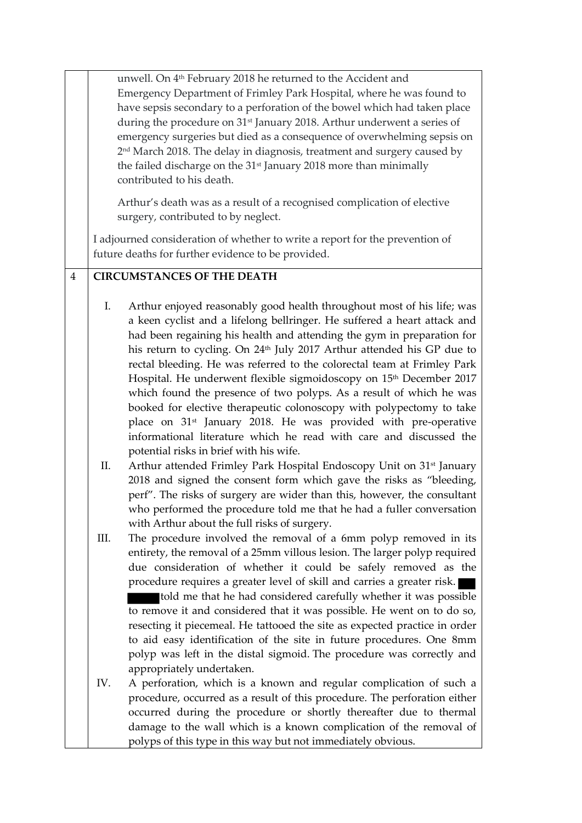|   | unwell. On 4 <sup>th</sup> February 2018 he returned to the Accident and               |  |  |
|---|----------------------------------------------------------------------------------------|--|--|
|   | Emergency Department of Frimley Park Hospital, where he was found to                   |  |  |
|   | have sepsis secondary to a perforation of the bowel which had taken place              |  |  |
|   | during the procedure on 31 <sup>st</sup> January 2018. Arthur underwent a series of    |  |  |
|   | emergency surgeries but died as a consequence of overwhelming sepsis on                |  |  |
|   | 2 <sup>nd</sup> March 2018. The delay in diagnosis, treatment and surgery caused by    |  |  |
|   | the failed discharge on the 31 <sup>st</sup> January 2018 more than minimally          |  |  |
|   | contributed to his death.                                                              |  |  |
|   |                                                                                        |  |  |
|   | Arthur's death was as a result of a recognised complication of elective                |  |  |
|   | surgery, contributed to by neglect.                                                    |  |  |
|   |                                                                                        |  |  |
|   | I adjourned consideration of whether to write a report for the prevention of           |  |  |
|   | future deaths for further evidence to be provided.                                     |  |  |
| 4 | <b>CIRCUMSTANCES OF THE DEATH</b>                                                      |  |  |
|   |                                                                                        |  |  |
|   | Ι.<br>Arthur enjoyed reasonably good health throughout most of his life; was           |  |  |
|   | a keen cyclist and a lifelong bellringer. He suffered a heart attack and               |  |  |
|   | had been regaining his health and attending the gym in preparation for                 |  |  |
|   | his return to cycling. On 24 <sup>th</sup> July 2017 Arthur attended his GP due to     |  |  |
|   | rectal bleeding. He was referred to the colorectal team at Frimley Park                |  |  |
|   | Hospital. He underwent flexible sigmoidoscopy on 15 <sup>th</sup> December 2017        |  |  |
|   | which found the presence of two polyps. As a result of which he was                    |  |  |
|   | booked for elective therapeutic colonoscopy with polypectomy to take                   |  |  |
|   | place on 31 <sup>st</sup> January 2018. He was provided with pre-operative             |  |  |
|   | informational literature which he read with care and discussed the                     |  |  |
|   | potential risks in brief with his wife.                                                |  |  |
|   | Π.<br>Arthur attended Frimley Park Hospital Endoscopy Unit on 31 <sup>st</sup> January |  |  |
|   | 2018 and signed the consent form which gave the risks as "bleeding,                    |  |  |
|   | perf". The risks of surgery are wider than this, however, the consultant               |  |  |
|   | who performed the procedure told me that he had a fuller conversation                  |  |  |
|   | with Arthur about the full risks of surgery.                                           |  |  |
|   | The procedure involved the removal of a 6mm polyp removed in its<br>III.               |  |  |
|   |                                                                                        |  |  |
|   | entirety, the removal of a 25mm villous lesion. The larger polyp required              |  |  |
|   | due consideration of whether it could be safely removed as the                         |  |  |
|   | procedure requires a greater level of skill and carries a greater risk.                |  |  |
|   | told me that he had considered carefully whether it was possible                       |  |  |
|   | to remove it and considered that it was possible. He went on to do so,                 |  |  |
|   | resecting it piecemeal. He tattooed the site as expected practice in order             |  |  |
|   | to aid easy identification of the site in future procedures. One 8mm                   |  |  |
|   | polyp was left in the distal sigmoid. The procedure was correctly and                  |  |  |
|   | appropriately undertaken.                                                              |  |  |
|   | IV.<br>A perforation, which is a known and regular complication of such a              |  |  |
|   | procedure, occurred as a result of this procedure. The perforation either              |  |  |
|   | occurred during the procedure or shortly thereafter due to thermal                     |  |  |
|   | damage to the wall which is a known complication of the removal of                     |  |  |
|   | polyps of this type in this way but not immediately obvious.                           |  |  |
|   |                                                                                        |  |  |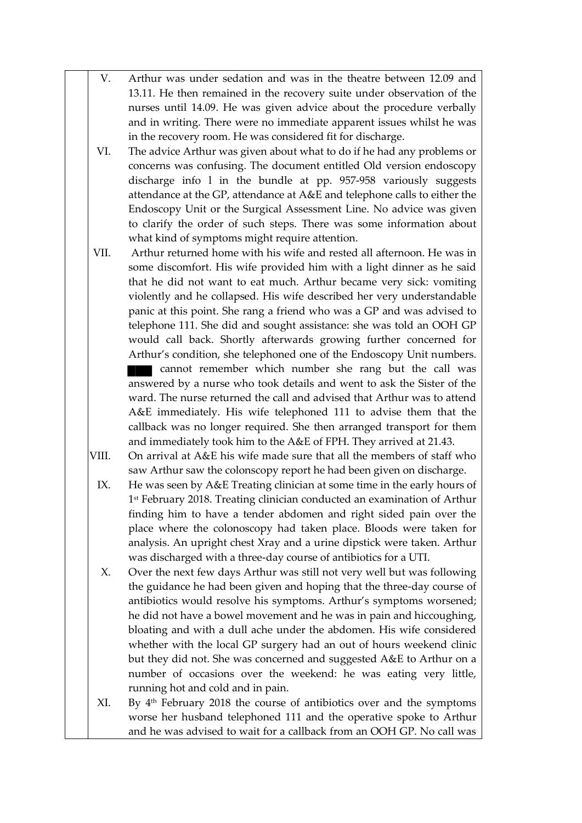- V. Arthur was under sedation and was in the theatre between 12.09 and 13.11. He then remained in the recovery suite under observation of the nurses until 14.09. He was given advice about the procedure verbally and in writing. There were no immediate apparent issues whilst he was in the recovery room. He was considered fit for discharge.
- VI. The advice Arthur was given about what to do if he had any problems or concerns was confusing. The document entitled Old version endoscopy discharge info l in the bundle at pp. 957-958 variously suggests attendance at the GP, attendance at A&E and telephone calls to either the Endoscopy Unit or the Surgical Assessment Line. No advice was given to clarify the order of such steps. There was some information about what kind of symptoms might require attention.
- VII. Arthur returned home with his wife and rested all afternoon. He was in some discomfort. His wife provided him with a light dinner as he said that he did not want to eat much. Arthur became very sick: vomiting violently and he collapsed. His wife described her very understandable panic at this point. She rang a friend who was a GP and was advised to telephone 111. She did and sought assistance: she was told an OOH GP would call back. Shortly afterwards growing further concerned for Arthur's condition, she telephoned one of the Endoscopy Unit numbers.

 cannot remember which number she rang but the call was answered by a nurse who took details and went to ask the Sister of the ward. The nurse returned the call and advised that Arthur was to attend A&E immediately. His wife telephoned 111 to advise them that the callback was no longer required. She then arranged transport for them and immediately took him to the A&E of FPH. They arrived at 21.43.

- VIII. On arrival at A&E his wife made sure that all the members of staff who saw Arthur saw the colonscopy report he had been given on discharge.
	- IX. He was seen by A&E Treating clinician at some time in the early hours of 1 st February 2018. Treating clinician conducted an examination of Arthur finding him to have a tender abdomen and right sided pain over the place where the colonoscopy had taken place. Bloods were taken for analysis. An upright chest Xray and a urine dipstick were taken. Arthur was discharged with a three-day course of antibiotics for a UTI.
	- X. Over the next few days Arthur was still not very well but was following the guidance he had been given and hoping that the three-day course of antibiotics would resolve his symptoms. Arthur's symptoms worsened; he did not have a bowel movement and he was in pain and hiccoughing, bloating and with a dull ache under the abdomen. His wife considered whether with the local GP surgery had an out of hours weekend clinic but they did not. She was concerned and suggested A&E to Arthur on a number of occasions over the weekend: he was eating very little, running hot and cold and in pain.
	- XI. By 4 th February 2018 the course of antibiotics over and the symptoms worse her husband telephoned 111 and the operative spoke to Arthur and he was advised to wait for a callback from an OOH GP. No call was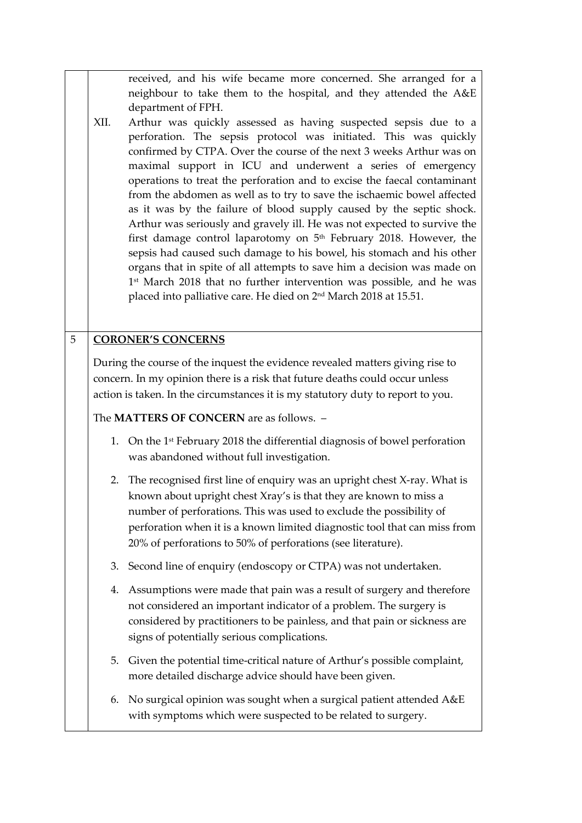|   | XII. | received, and his wife became more concerned. She arranged for a<br>neighbour to take them to the hospital, and they attended the A&E<br>department of FPH.<br>Arthur was quickly assessed as having suspected sepsis due to a<br>perforation. The sepsis protocol was initiated. This was quickly<br>confirmed by CTPA. Over the course of the next 3 weeks Arthur was on<br>maximal support in ICU and underwent a series of emergency<br>operations to treat the perforation and to excise the faecal contaminant<br>from the abdomen as well as to try to save the ischaemic bowel affected<br>as it was by the failure of blood supply caused by the septic shock.<br>Arthur was seriously and gravely ill. He was not expected to survive the<br>first damage control laparotomy on 5 <sup>th</sup> February 2018. However, the<br>sepsis had caused such damage to his bowel, his stomach and his other<br>organs that in spite of all attempts to save him a decision was made on<br>1st March 2018 that no further intervention was possible, and he was |
|---|------|-------------------------------------------------------------------------------------------------------------------------------------------------------------------------------------------------------------------------------------------------------------------------------------------------------------------------------------------------------------------------------------------------------------------------------------------------------------------------------------------------------------------------------------------------------------------------------------------------------------------------------------------------------------------------------------------------------------------------------------------------------------------------------------------------------------------------------------------------------------------------------------------------------------------------------------------------------------------------------------------------------------------------------------------------------------------|
|   |      | placed into palliative care. He died on 2 <sup>nd</sup> March 2018 at 15.51.                                                                                                                                                                                                                                                                                                                                                                                                                                                                                                                                                                                                                                                                                                                                                                                                                                                                                                                                                                                      |
| 5 |      | <b>CORONER'S CONCERNS</b><br>During the course of the inquest the evidence revealed matters giving rise to<br>concern. In my opinion there is a risk that future deaths could occur unless<br>action is taken. In the circumstances it is my statutory duty to report to you.                                                                                                                                                                                                                                                                                                                                                                                                                                                                                                                                                                                                                                                                                                                                                                                     |
|   |      | The MATTERS OF CONCERN are as follows. -                                                                                                                                                                                                                                                                                                                                                                                                                                                                                                                                                                                                                                                                                                                                                                                                                                                                                                                                                                                                                          |
|   |      | 1. On the 1 <sup>st</sup> February 2018 the differential diagnosis of bowel perforation<br>was abandoned without full investigation.                                                                                                                                                                                                                                                                                                                                                                                                                                                                                                                                                                                                                                                                                                                                                                                                                                                                                                                              |
|   |      | 2. The recognised first line of enquiry was an upright chest X-ray. What is<br>known about upright chest Xray's is that they are known to miss a<br>number of perforations. This was used to exclude the possibility of<br>perforation when it is a known limited diagnostic tool that can miss from<br>20% of perforations to 50% of perforations (see literature).                                                                                                                                                                                                                                                                                                                                                                                                                                                                                                                                                                                                                                                                                              |
|   | 3.   | Second line of enquiry (endoscopy or CTPA) was not undertaken.                                                                                                                                                                                                                                                                                                                                                                                                                                                                                                                                                                                                                                                                                                                                                                                                                                                                                                                                                                                                    |
|   |      | 4. Assumptions were made that pain was a result of surgery and therefore<br>not considered an important indicator of a problem. The surgery is<br>considered by practitioners to be painless, and that pain or sickness are<br>signs of potentially serious complications.                                                                                                                                                                                                                                                                                                                                                                                                                                                                                                                                                                                                                                                                                                                                                                                        |
|   | 5.   | Given the potential time-critical nature of Arthur's possible complaint,<br>more detailed discharge advice should have been given.                                                                                                                                                                                                                                                                                                                                                                                                                                                                                                                                                                                                                                                                                                                                                                                                                                                                                                                                |
|   | 6.   | No surgical opinion was sought when a surgical patient attended A&E<br>with symptoms which were suspected to be related to surgery.                                                                                                                                                                                                                                                                                                                                                                                                                                                                                                                                                                                                                                                                                                                                                                                                                                                                                                                               |